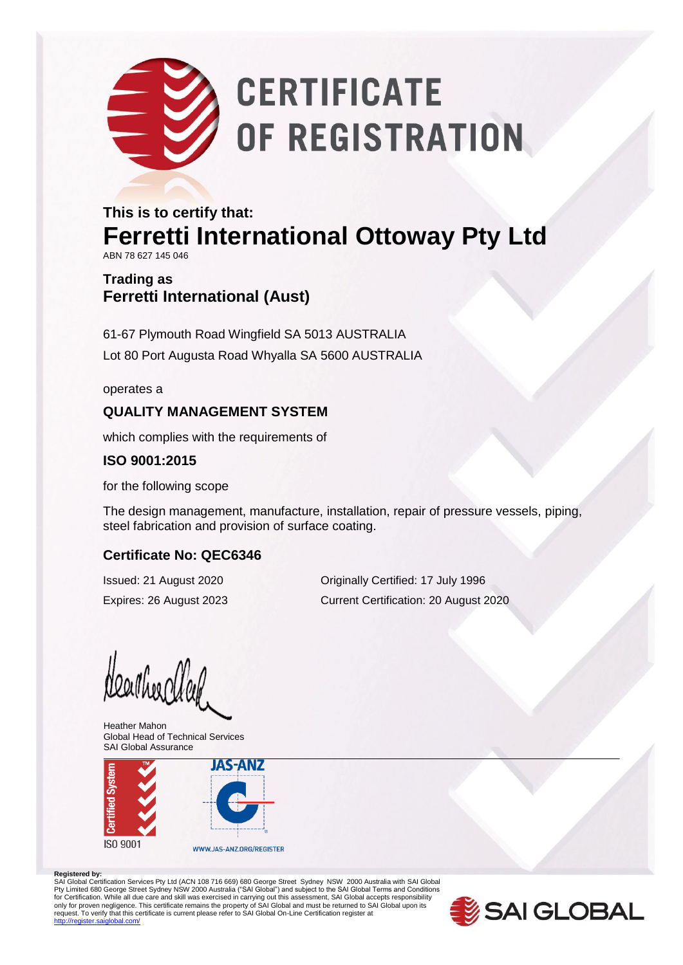# **CERTIFICATE** OF REGISTRATION

## **This is to certify that: Ferretti International Ottoway Pty Ltd**

ABN 78 627 145 046

### **Trading as Ferretti International (Aust)**

61-67 Plymouth Road Wingfield SA 5013 AUSTRALIA Lot 80 Port Augusta Road Whyalla SA 5600 AUSTRALIA

operates a

#### **QUALITY MANAGEMENT SYSTEM**

which complies with the requirements of

#### **ISO 9001:2015**

for the following scope

The design management, manufacture, installation, repair of pressure vessels, piping, steel fabrication and provision of surface coating.

#### **Certificate No: QEC6346**

Issued: 21 August 2020 Originally Certified: 17 July 1996 Expires: 26 August 2023 Current Certification: 20 August 2020

Nearther Week

Heather Mahon Global Head of Technical Services SAI Global Assurance



#### **Registered by:**

SAI Global Certification Services Pty Ltd (ACN 108 716 669) 680 George Street Sydney NSW 2000 Australia with SAI Global Pty Limited 680 George Street Sydney NSW 2000 Australia ("SAI Global") and subject to the SAI Global Terms and Conditions<br>for Certification. While all due care and skill was exercised in carrying out this assessment, SAI G only for proven negligence. This certificate remains the property of SAI Global and must be returned to SAI Global upon its<br>request. To verify that this certificate is current please refer to SAI Global On-Line Certificati .<br>http://register.com/